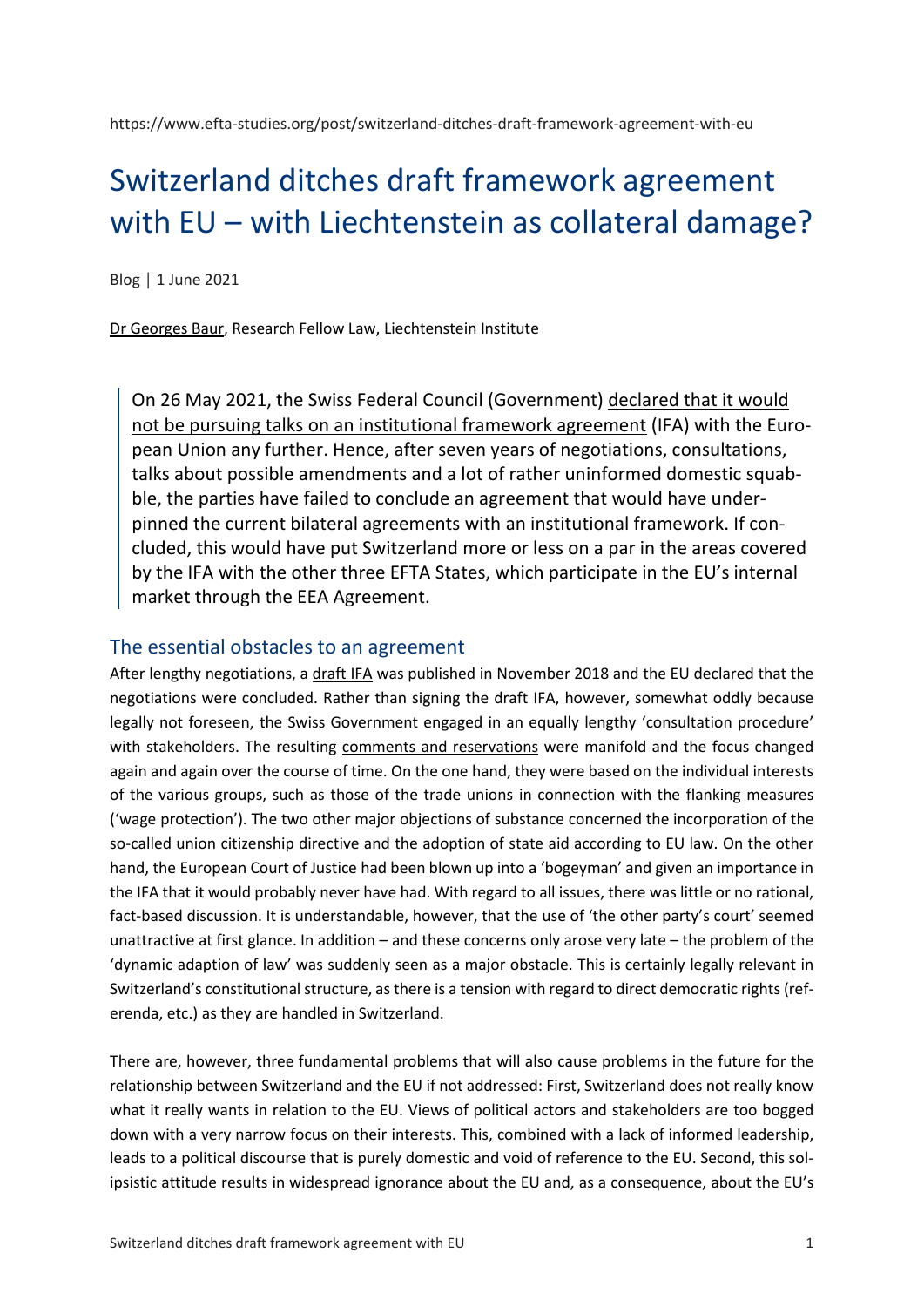https://www.efta-studies.org/post/switzerland-ditches-draft-framework-agreement-with-eu

# Switzerland ditches draft framework agreement with EU – with Liechtenstein as collateral damage?

Blog │ 1 June 2021

[Dr Georges Baur,](https://www.liechtenstein-institut.li/en/people/dr-georges-baur) Research Fellow Law, Liechtenstein Institute

On 26 May 2021, the Swiss Federal Council (Government) [declared that it would](https://www.eda.admin.ch/dam/europa/fr/documents/abkommen/20210526-brief-BR-vdL-InstA_FR.pdf)  [not be pursuing talks on an institutional framework agreement](https://www.eda.admin.ch/dam/europa/fr/documents/abkommen/20210526-brief-BR-vdL-InstA_FR.pdf) (IFA) with the European Union any further. Hence, after seven years of negotiations, consultations, talks about possible amendments and a lot of rather uninformed domestic squabble, the parties have failed to conclude an agreement that would have underpinned the current bilateral agreements with an institutional framework. If concluded, this would have put Switzerland more or less on a par in the areas covered by the IFA with the other three EFTA States, which participate in the EU's internal market through the EEA Agreement.

## The essential obstacles to an agreement

After lengthy negotiations, a [draft IFA](https://www.eda.admin.ch/dam/europa/fr/documents/abkommen/Acccord-inst-Projet-de-texte_fr.pdf) was published in November 2018 and the EU declared that the negotiations were concluded. Rather than signing the draft IFA, however, somewhat oddly because legally not foreseen, the Swiss Government engaged in an equally lengthy 'consultation procedure' with stakeholders. The resulting [comments and reservations](https://www.eda.admin.ch/dam/europa/en/documents/abkommen/20210526-mm-europapolitik_beilage-8-3_gespraeche_EN.pdf) were manifold and the focus changed again and again over the course of time. On the one hand, they were based on the individual interests of the various groups, such as those of the trade unions in connection with the flanking measures ('wage protection'). The two other major objections of substance concerned the incorporation of the so-called union citizenship directive and the adoption of state aid according to EU law. On the other hand, the European Court of Justice had been blown up into a 'bogeyman' and given an importance in the IFA that it would probably never have had. With regard to all issues, there was little or no rational, fact-based discussion. It is understandable, however, that the use of 'the other party's court' seemed unattractive at first glance. In addition – and these concerns only arose very late – the problem of the 'dynamic adaption of law' was suddenly seen as a major obstacle. This is certainly legally relevant in Switzerland's constitutional structure, as there is a tension with regard to direct democratic rights (referenda, etc.) as they are handled in Switzerland.

There are, however, three fundamental problems that will also cause problems in the future for the relationship between Switzerland and the EU if not addressed: First, Switzerland does not really know what it really wants in relation to the EU. Views of political actors and stakeholders are too bogged down with a very narrow focus on their interests. This, combined with a lack of informed leadership, leads to a political discourse that is purely domestic and void of reference to the EU. Second, this solipsistic attitude results in widespread ignorance about the EU and, as a consequence, about the EU's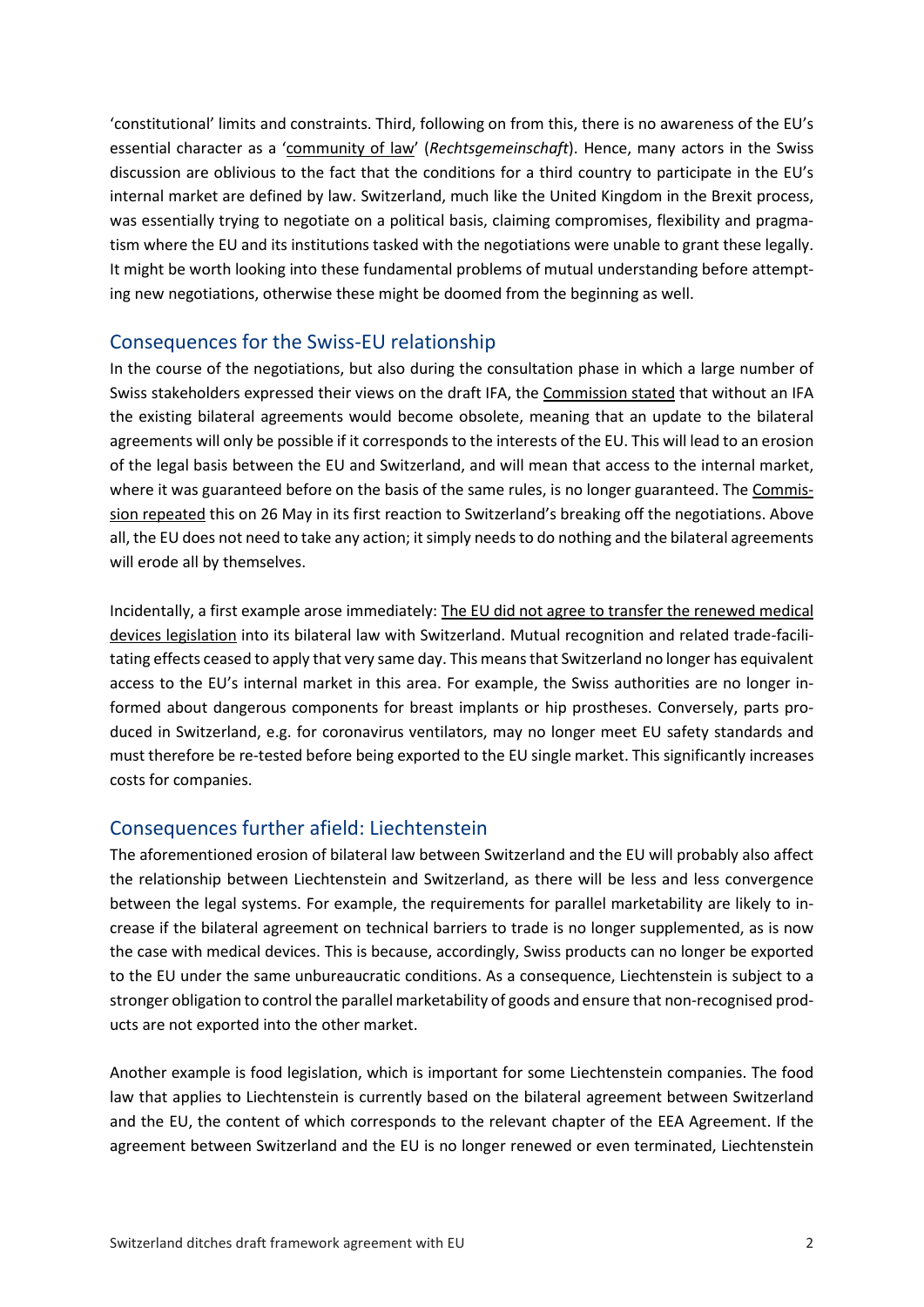'constitutional' limits and constraints. Third, following on from this, there is no awareness of the EU's essential character as a ['community of law'](https://www.europarl.europa.eu/thinktank/en/document.html?reference=EPRS_BRI(2017)599364) (*Rechtsgemeinschaft*). Hence, many actors in the Swiss discussion are oblivious to the fact that the conditions for a third country to participate in the EU's internal market are defined by law. Switzerland, much like the United Kingdom in the Brexit process, was essentially trying to negotiate on a political basis, claiming compromises, flexibility and pragmatism where the EU and its institutions tasked with the negotiations were unable to grant these legally. It might be worth looking into these fundamental problems of mutual understanding before attempting new negotiations, otherwise these might be doomed from the beginning as well.

### Consequences for the Swiss-EU relationship

In the course of the negotiations, but also during the consultation phase in which a large number of Swiss stakeholders expressed their views on the draft IFA, the [Commission stated](https://eeas.europa.eu/headquarters/headquarters-homepage_en/98996/What%20if%20there%20is%20no%20Institutional%20Framework%20Agreement%20(IFA)) that without an IFA the existing bilateral agreements would become obsolete, meaning that an update to the bilateral agreements will only be possible if it corresponds to the interests of the EU. This will lead to an erosion of the legal basis between the EU and Switzerland, and will mean that access to the internal market, where it was guaranteed before on the basis of the same rules, is no longer guaranteed. The [Commis](https://ec.europa.eu/commission/presscorner/detail/en/statement_21_2683)[sion repeated](https://ec.europa.eu/commission/presscorner/detail/en/statement_21_2683) this on 26 May in its first reaction to Switzerland's breaking off the negotiations. Above all, the EU does not need to take any action; it simply needs to do nothing and the bilateral agreements will erode all by themselves.

Incidentally, a first example arose immediately: [The EU did not agree to transfer the renewed medical](https://ec.europa.eu/commission/presscorner/detail/en/IP_21_2684)  [devices legislation](https://ec.europa.eu/commission/presscorner/detail/en/IP_21_2684) into its bilateral law with Switzerland. Mutual recognition and related trade-facilitating effects ceased to apply that very same day. This means that Switzerland no longer has equivalent access to the EU's internal market in this area. For example, the Swiss authorities are no longer informed about dangerous components for breast implants or hip prostheses. Conversely, parts produced in Switzerland, e.g. for coronavirus ventilators, may no longer meet EU safety standards and must therefore be re-tested before being exported to the EU single market. This significantly increases costs for companies.

### Consequences further afield: Liechtenstein

The aforementioned erosion of bilateral law between Switzerland and the EU will probably also affect the relationship between Liechtenstein and Switzerland, as there will be less and less convergence between the legal systems. For example, the requirements for parallel marketability are likely to increase if the bilateral agreement on technical barriers to trade is no longer supplemented, as is now the case with medical devices. This is because, accordingly, Swiss products can no longer be exported to the EU under the same unbureaucratic conditions. As a consequence, Liechtenstein is subject to a stronger obligation to control the parallel marketability of goods and ensure that non-recognised products are not exported into the other market.

Another example is food legislation, which is important for some Liechtenstein companies. The food law that applies to Liechtenstein is currently based on the bilateral agreement between Switzerland and the EU, the content of which corresponds to the relevant chapter of the EEA Agreement. If the agreement between Switzerland and the EU is no longer renewed or even terminated, Liechtenstein